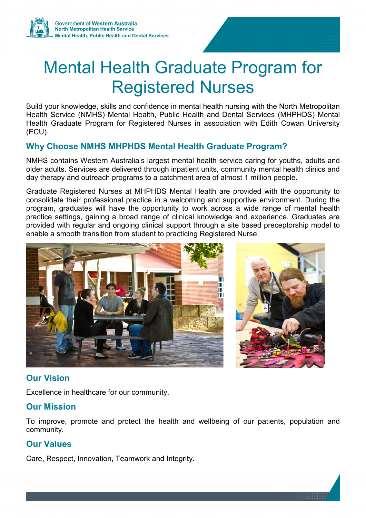# Mental Health Graduate Program for Registered Nurses

Build your knowledge, skills and confidence in mental health nursing with the North Metropolitan Health Service (NMHS) Mental Health, Public Health and Dental Services (MHPHDS) Mental Health Graduate Program for Registered Nurses in association with Edith Cowan University (ECU).

# **Why Choose NMHS MHPHDS Mental Health Graduate Program?**

NMHS contains Western Australia's largest mental health service caring for youths, adults and older adults. Services are delivered through inpatient units, community mental health clinics and day therapy and outreach programs to a catchment area of almost 1 million people.

Graduate Registered Nurses at MHPHDS Mental Health are provided with the opportunity to consolidate their professional practice in a welcoming and supportive environment. During the program, graduates will have the opportunity to work across a wide range of mental health practice settings, gaining a broad range of clinical knowledge and experience. Graduates are provided with regular and ongoing clinical support through a site based preceptorship model to enable a smooth transition from student to practicing Registered Nurse.



# **Our Vision**

Excellence in healthcare for our community.

#### **Our Mission**

To improve, promote and protect the health and wellbeing of our patients, population and community.

# **Our Values**

Care, Respect, Innovation, Teamwork and Integrity.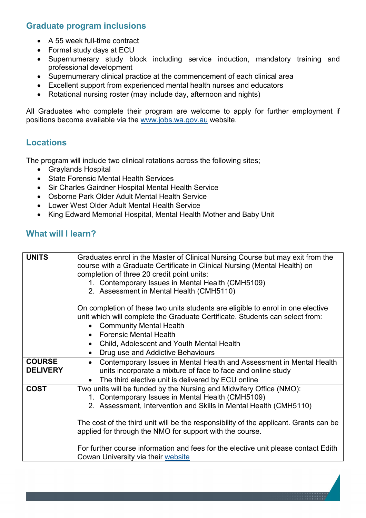# **Graduate program inclusions**

- A 55 week full-time contract
- Formal study days at ECU
- Supernumerary study block including service induction, mandatory training and professional development
- Supernumerary clinical practice at the commencement of each clinical area
- Excellent support from experienced mental health nurses and educators
- Rotational nursing roster (may include day, afternoon and nights)

All Graduates who complete their program are welcome to apply for further employment if positions become available via the [www.jobs.wa.gov.au](http://www.jobs.wa.gov.au/) website.

#### **Locations**

The program will include two clinical rotations across the following sites;

- Graylands Hospital
- State Forensic Mental Health Services
- Sir Charles Gairdner Hospital Mental Health Service
- Osborne Park Older Adult Mental Health Service
- Lower West Older Adult Mental Health Service
- King Edward Memorial Hospital, Mental Health Mother and Baby Unit

#### **What will I learn?**

| <b>UNITS</b>                     | Graduates enrol in the Master of Clinical Nursing Course but may exit from the<br>course with a Graduate Certificate in Clinical Nursing (Mental Health) on<br>completion of three 20 credit point units:<br>1. Contemporary Issues in Mental Health (CMH5109)<br>2. Assessment in Mental Health (CMH5110)                                                                                                                                                                     |
|----------------------------------|--------------------------------------------------------------------------------------------------------------------------------------------------------------------------------------------------------------------------------------------------------------------------------------------------------------------------------------------------------------------------------------------------------------------------------------------------------------------------------|
|                                  | On completion of these two units students are eligible to enrol in one elective<br>unit which will complete the Graduate Certificate. Students can select from:<br><b>Community Mental Health</b><br><b>Forensic Mental Health</b><br>Child, Adolescent and Youth Mental Health<br>$\bullet$<br>Drug use and Addictive Behaviours                                                                                                                                              |
| <b>COURSE</b><br><b>DELIVERY</b> | Contemporary Issues in Mental Health and Assessment in Mental Health<br>units incorporate a mixture of face to face and online study<br>The third elective unit is delivered by ECU online                                                                                                                                                                                                                                                                                     |
| <b>COST</b>                      | Two units will be funded by the Nursing and Midwifery Office (NMO):<br>1. Contemporary Issues in Mental Health (CMH5109)<br>2. Assessment, Intervention and Skills in Mental Health (CMH5110)<br>The cost of the third unit will be the responsibility of the applicant. Grants can be<br>applied for through the NMO for support with the course.<br>For further course information and fees for the elective unit please contact Edith<br>Cowan University via their website |